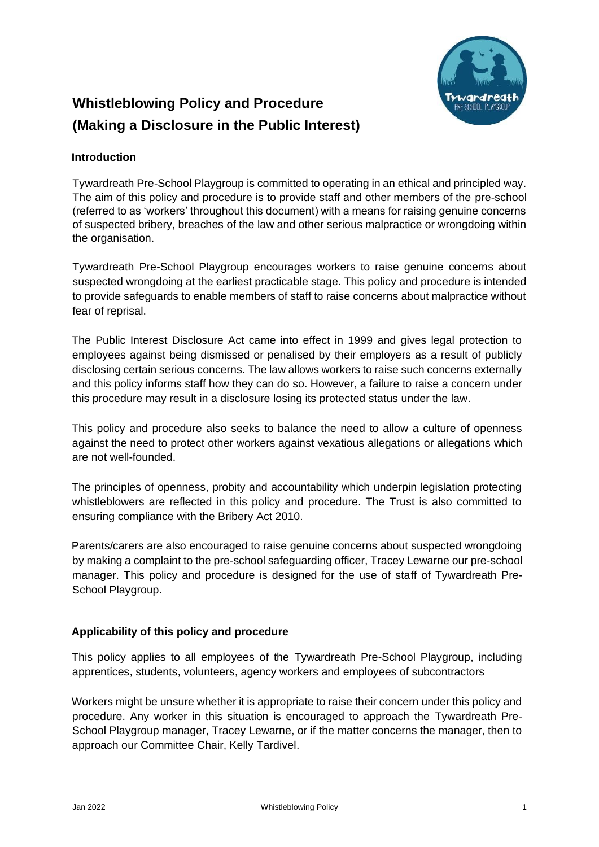

# **Whistleblowing Policy and Procedure (Making a Disclosure in the Public Interest)**

# **Introduction**

Tywardreath Pre-School Playgroup is committed to operating in an ethical and principled way. The aim of this policy and procedure is to provide staff and other members of the pre-school (referred to as 'workers' throughout this document) with a means for raising genuine concerns of suspected bribery, breaches of the law and other serious malpractice or wrongdoing within the organisation.

Tywardreath Pre-School Playgroup encourages workers to raise genuine concerns about suspected wrongdoing at the earliest practicable stage. This policy and procedure is intended to provide safeguards to enable members of staff to raise concerns about malpractice without fear of reprisal.

The Public Interest Disclosure Act came into effect in 1999 and gives legal protection to employees against being dismissed or penalised by their employers as a result of publicly disclosing certain serious concerns. The law allows workers to raise such concerns externally and this policy informs staff how they can do so. However, a failure to raise a concern under this procedure may result in a disclosure losing its protected status under the law.

This policy and procedure also seeks to balance the need to allow a culture of openness against the need to protect other workers against vexatious allegations or allegations which are not well-founded.

The principles of openness, probity and accountability which underpin legislation protecting whistleblowers are reflected in this policy and procedure. The Trust is also committed to ensuring compliance with the Bribery Act 2010.

Parents/carers are also encouraged to raise genuine concerns about suspected wrongdoing by making a complaint to the pre-school safeguarding officer, Tracey Lewarne our pre-school manager. This policy and procedure is designed for the use of staff of Tywardreath Pre-School Playgroup.

## **Applicability of this policy and procedure**

This policy applies to all employees of the Tywardreath Pre-School Playgroup, including apprentices, students, volunteers, agency workers and employees of subcontractors

Workers might be unsure whether it is appropriate to raise their concern under this policy and procedure. Any worker in this situation is encouraged to approach the Tywardreath Pre-School Playgroup manager, Tracey Lewarne, or if the matter concerns the manager, then to approach our Committee Chair, Kelly Tardivel.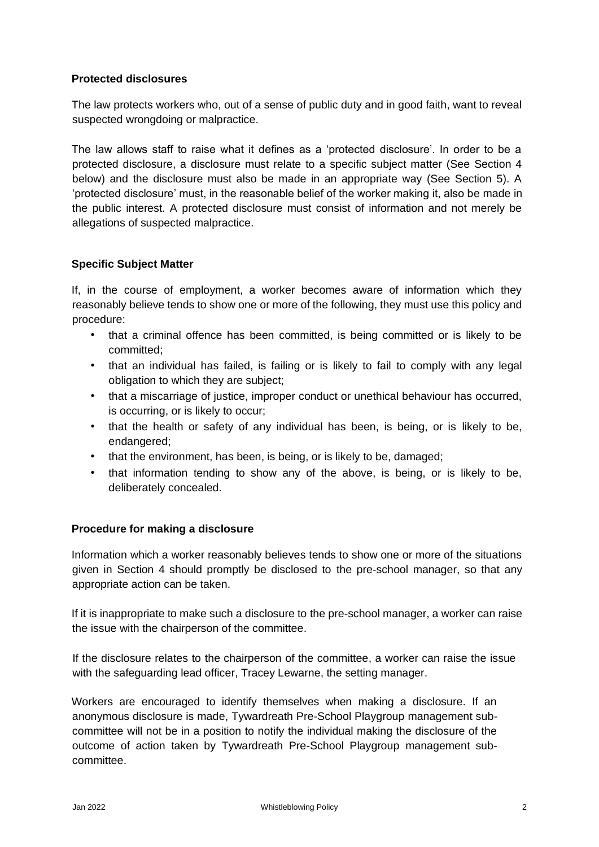## **Protected disclosures**

The law protects workers who, out of a sense of public duty and in good faith, want to reveal suspected wrongdoing or malpractice.

The law allows staff to raise what it defines as a 'protected disclosure'. In order to be a protected disclosure, a disclosure must relate to a specific subject matter (See Section 4 below) and the disclosure must also be made in an appropriate way (See Section 5). A 'protected disclosure' must, in the reasonable belief of the worker making it, also be made in the public interest. A protected disclosure must consist of information and not merely be allegations of suspected malpractice.

# **Specific Subject Matter**

If, in the course of employment, a worker becomes aware of information which they reasonably believe tends to show one or more of the following, they must use this policy and procedure:

- that a criminal offence has been committed, is being committed or is likely to be committed;
- that an individual has failed, is failing or is likely to fail to comply with any legal obligation to which they are subject;
- that a miscarriage of justice, improper conduct or unethical behaviour has occurred, is occurring, or is likely to occur;
- that the health or safety of any individual has been, is being, or is likely to be, endangered;
- that the environment, has been, is being, or is likely to be, damaged;
- that information tending to show any of the above, is being, or is likely to be, deliberately concealed.

## **Procedure for making a disclosure**

Information which a worker reasonably believes tends to show one or more of the situations given in Section 4 should promptly be disclosed to the pre-school manager, so that any appropriate action can be taken.

If it is inappropriate to make such a disclosure to the pre-school manager, a worker can raise the issue with the chairperson of the committee.

If the disclosure relates to the chairperson of the committee, a worker can raise the issue with the safeguarding lead officer, Tracey Lewarne, the setting manager.

Workers are encouraged to identify themselves when making a disclosure. If an anonymous disclosure is made, Tywardreath Pre-School Playgroup management subcommittee will not be in a position to notify the individual making the disclosure of the outcome of action taken by Tywardreath Pre-School Playgroup management subcommittee.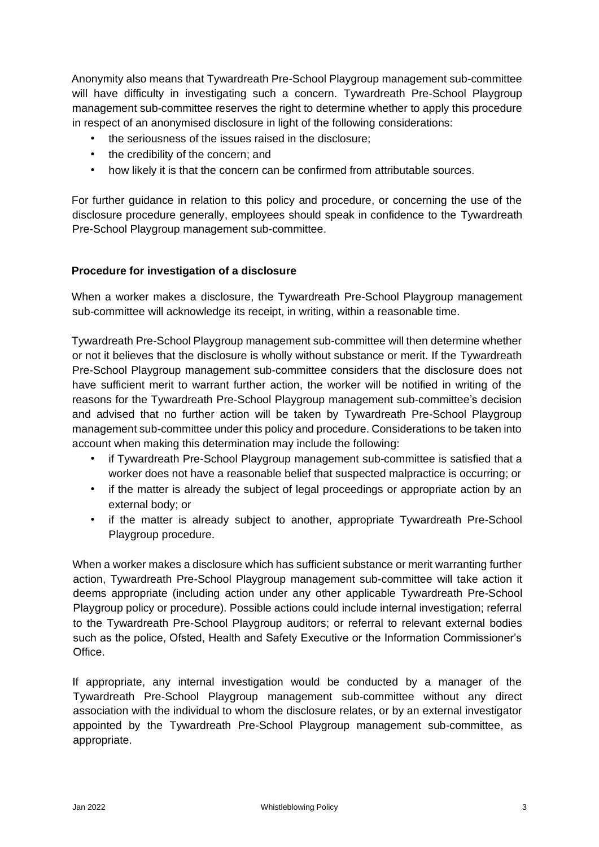Anonymity also means that Tywardreath Pre-School Playgroup management sub-committee will have difficulty in investigating such a concern. Tywardreath Pre-School Playgroup management sub-committee reserves the right to determine whether to apply this procedure in respect of an anonymised disclosure in light of the following considerations:

- the seriousness of the issues raised in the disclosure;
- the credibility of the concern; and
- how likely it is that the concern can be confirmed from attributable sources.

For further guidance in relation to this policy and procedure, or concerning the use of the disclosure procedure generally, employees should speak in confidence to the Tywardreath Pre-School Playgroup management sub-committee.

## **Procedure for investigation of a disclosure**

When a worker makes a disclosure, the Tywardreath Pre-School Playgroup management sub-committee will acknowledge its receipt, in writing, within a reasonable time.

Tywardreath Pre-School Playgroup management sub-committee will then determine whether or not it believes that the disclosure is wholly without substance or merit. If the Tywardreath Pre-School Playgroup management sub-committee considers that the disclosure does not have sufficient merit to warrant further action, the worker will be notified in writing of the reasons for the Tywardreath Pre-School Playgroup management sub-committee's decision and advised that no further action will be taken by Tywardreath Pre-School Playgroup management sub-committee under this policy and procedure. Considerations to be taken into account when making this determination may include the following:

- if Tywardreath Pre-School Playgroup management sub-committee is satisfied that a worker does not have a reasonable belief that suspected malpractice is occurring; or
- if the matter is already the subject of legal proceedings or appropriate action by an external body; or
- if the matter is already subject to another, appropriate Tywardreath Pre-School Playgroup procedure.

When a worker makes a disclosure which has sufficient substance or merit warranting further action, Tywardreath Pre-School Playgroup management sub-committee will take action it deems appropriate (including action under any other applicable Tywardreath Pre-School Playgroup policy or procedure). Possible actions could include internal investigation; referral to the Tywardreath Pre-School Playgroup auditors; or referral to relevant external bodies such as the police, Ofsted, Health and Safety Executive or the Information Commissioner's Office.

If appropriate, any internal investigation would be conducted by a manager of the Tywardreath Pre-School Playgroup management sub-committee without any direct association with the individual to whom the disclosure relates, or by an external investigator appointed by the Tywardreath Pre-School Playgroup management sub-committee, as appropriate.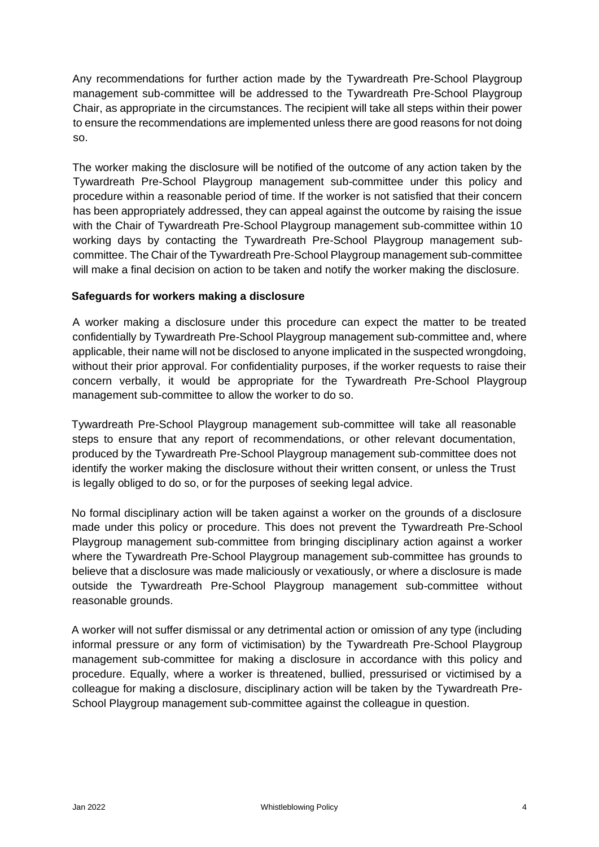Any recommendations for further action made by the Tywardreath Pre-School Playgroup management sub-committee will be addressed to the Tywardreath Pre-School Playgroup Chair, as appropriate in the circumstances. The recipient will take all steps within their power to ensure the recommendations are implemented unless there are good reasons for not doing so.

The worker making the disclosure will be notified of the outcome of any action taken by the Tywardreath Pre-School Playgroup management sub-committee under this policy and procedure within a reasonable period of time. If the worker is not satisfied that their concern has been appropriately addressed, they can appeal against the outcome by raising the issue with the Chair of Tywardreath Pre-School Playgroup management sub-committee within 10 working days by contacting the Tywardreath Pre-School Playgroup management subcommittee. The Chair of the Tywardreath Pre-School Playgroup management sub-committee will make a final decision on action to be taken and notify the worker making the disclosure.

### **Safeguards for workers making a disclosure**

A worker making a disclosure under this procedure can expect the matter to be treated confidentially by Tywardreath Pre-School Playgroup management sub-committee and, where applicable, their name will not be disclosed to anyone implicated in the suspected wrongdoing, without their prior approval. For confidentiality purposes, if the worker requests to raise their concern verbally, it would be appropriate for the Tywardreath Pre-School Playgroup management sub-committee to allow the worker to do so.

Tywardreath Pre-School Playgroup management sub-committee will take all reasonable steps to ensure that any report of recommendations, or other relevant documentation, produced by the Tywardreath Pre-School Playgroup management sub-committee does not identify the worker making the disclosure without their written consent, or unless the Trust is legally obliged to do so, or for the purposes of seeking legal advice.

No formal disciplinary action will be taken against a worker on the grounds of a disclosure made under this policy or procedure. This does not prevent the Tywardreath Pre-School Playgroup management sub-committee from bringing disciplinary action against a worker where the Tywardreath Pre-School Playgroup management sub-committee has grounds to believe that a disclosure was made maliciously or vexatiously, or where a disclosure is made outside the Tywardreath Pre-School Playgroup management sub-committee without reasonable grounds.

A worker will not suffer dismissal or any detrimental action or omission of any type (including informal pressure or any form of victimisation) by the Tywardreath Pre-School Playgroup management sub-committee for making a disclosure in accordance with this policy and procedure. Equally, where a worker is threatened, bullied, pressurised or victimised by a colleague for making a disclosure, disciplinary action will be taken by the Tywardreath Pre-School Playgroup management sub-committee against the colleague in question.